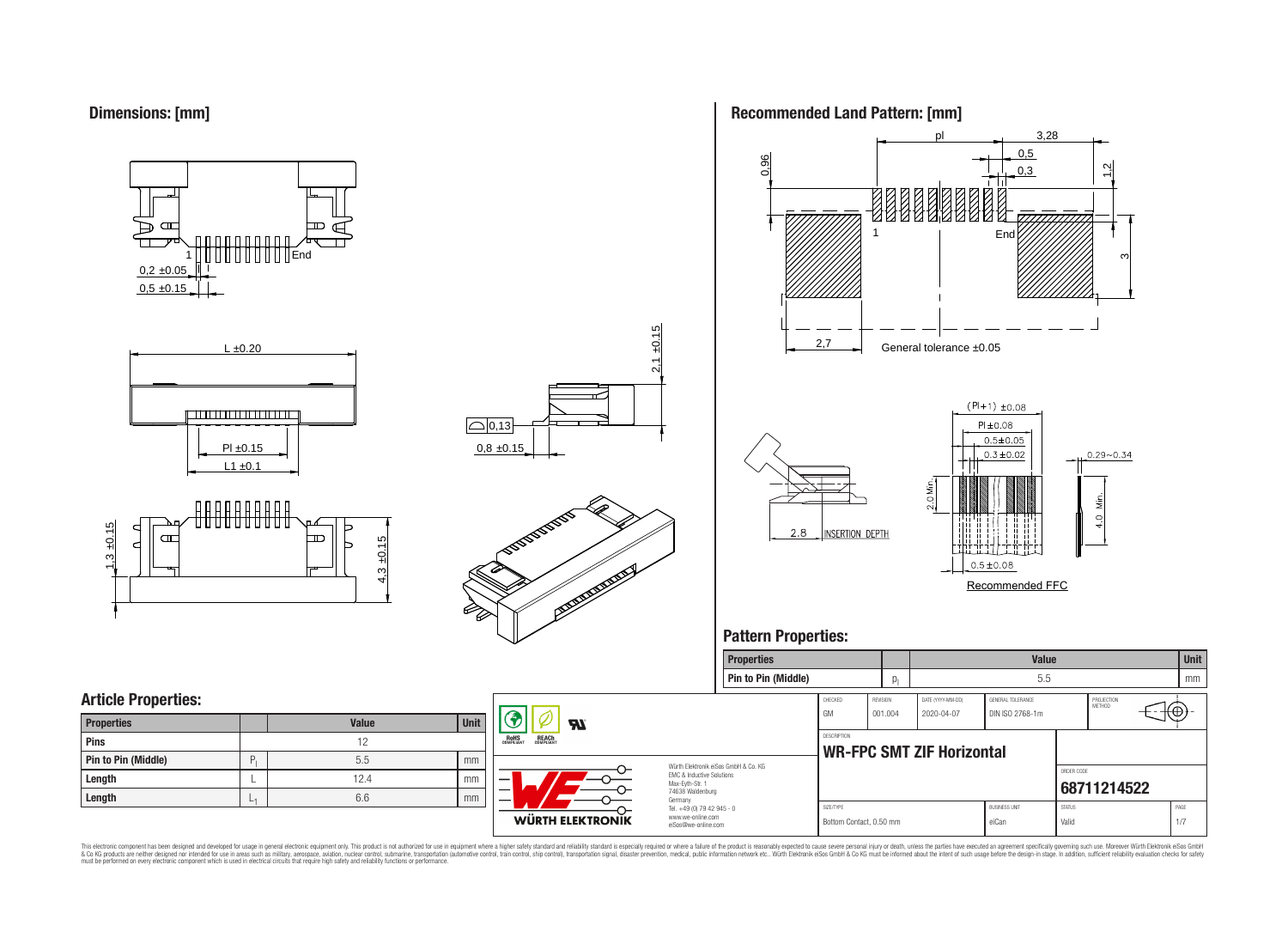

















# **Pattern Properties:**



This electronic component has been designed and developed for usage in general electronic equipment only. This product is not authorized for use in equipment where a higher safely standard and reliability standard si espec & Ook product a label and the membed of the seasuch as marked and as which such a membed and the such assume that income in the seasuch and the simulation and the such assume that include to the such a membed and the such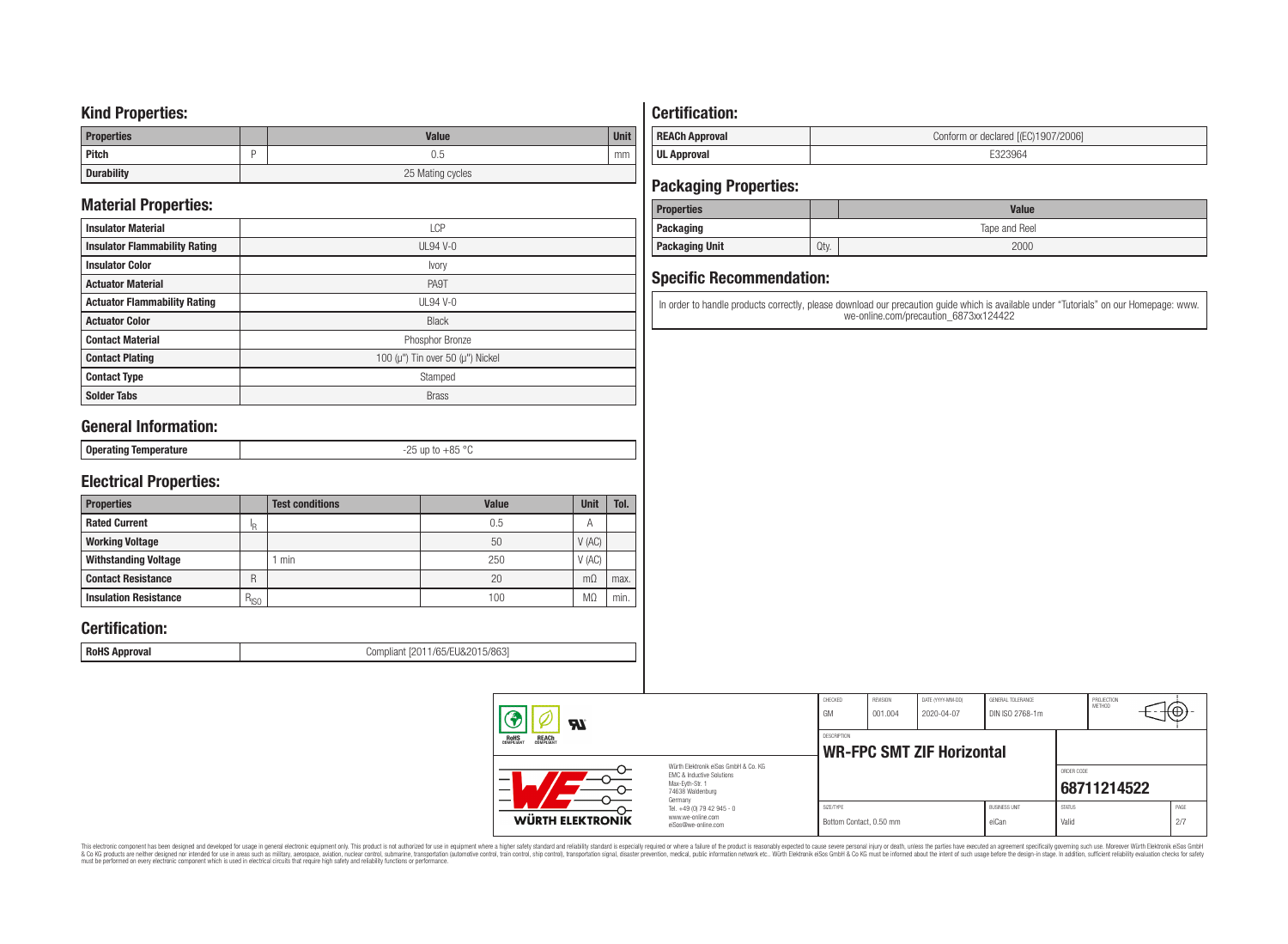### **Kind Properties:**

| <b>Properties</b> | <b>Value</b>     | <b>Unit</b> |
|-------------------|------------------|-------------|
| <b>Pitch</b>      | 0.5              | mm          |
| <b>Durability</b> | 25 Mating cycles |             |

# **Material Properties:**

| <b>Insulator Material</b>            | LCP                                          |
|--------------------------------------|----------------------------------------------|
| <b>Insulator Flammability Rating</b> | $UL94V-0$                                    |
| <b>Insulator Color</b>               | Ivory                                        |
| <b>Actuator Material</b>             | PA9T                                         |
| <b>Actuator Flammability Rating</b>  | UL94 V-0                                     |
| <b>Actuator Color</b>                | <b>Black</b>                                 |
| <b>Contact Material</b>              | Phosphor Bronze                              |
| <b>Contact Plating</b>               | 100 ( $\mu$ ") Tin over 50 ( $\mu$ ") Nickel |
| <b>Contact Type</b>                  | Stamped                                      |
| <b>Solder Tabs</b>                   | <b>Brass</b>                                 |

# **General Information:**

| $\circ$<br>⊥ Onera′<br><b>U</b> L<br>.<br>.<br> |                 |            |
|-------------------------------------------------|-----------------|------------|
|                                                 | $-$ - $-$ - $-$ | $  -$<br>. |

# **Electrical Properties:**

| <b>Properties</b>            |           | <b>Test conditions</b> | <b>Value</b> | Unit           | Tol. |
|------------------------------|-----------|------------------------|--------------|----------------|------|
| <b>Rated Current</b>         | םו        |                        | 0.5          | $\overline{A}$ |      |
| <b>Working Voltage</b>       |           |                        | 50           | V(AC)          |      |
| <b>Withstanding Voltage</b>  |           | min                    | 250          | V(AC)          |      |
| <b>Contact Resistance</b>    | R         |                        | 20           | $m\Omega$      | max. |
| <b>Insulation Resistance</b> | $R_{ISO}$ |                        | 100          | M <sub>2</sub> | min. |

# **Certification:**

**RoHS Approval RoHS Approval Compliant** [2011/65/EU&2015/863]

# **Certification:**

| <b>REACh Approval</b> | Conform or declared [(EC)1907/2006] |
|-----------------------|-------------------------------------|
| <b>UL Approval</b>    |                                     |

# **Packaging Properties:**

| <b>Properties</b>     |               | <b>Value</b> |  |  |  |
|-----------------------|---------------|--------------|--|--|--|
| Packaging             | Tape and Reel |              |  |  |  |
| <b>Packaging Unit</b> | Qty.          | 2000         |  |  |  |

# **Specific Recommendation:**

In order to handle products correctly, please download our precaution guide which is available under "Tutorials" on our Homepage: www. we-online.com/precaution\_6873xx124422

| $\boldsymbol{\mathcal{H}}$                                                                                          |                                                                        | CHECKED<br>GM                                          | REVISION<br>001.004 | DATE (YYYY-MM-DD)<br>2020-04-07 | GENERAL TOLERANCE<br>DIN ISO 2768-1m |                        | PROJECTION<br>METHOD | (⊕)         |  |
|---------------------------------------------------------------------------------------------------------------------|------------------------------------------------------------------------|--------------------------------------------------------|---------------------|---------------------------------|--------------------------------------|------------------------|----------------------|-------------|--|
| <b>ROHS</b><br>COMPLIANT<br><b>REACH</b><br>COMPLIANT                                                               |                                                                        | <b>DESCRIPTION</b><br><b>WR-FPC SMT ZIF Horizontal</b> |                     |                                 |                                      |                        |                      |             |  |
| Würth Elektronik eiSos GmbH & Co. KG<br>EMC & Inductive Solutions<br>Max-Evth-Str. 1<br>74638 Waldenburg<br>Germany |                                                                        |                                                        |                     |                                 |                                      | ORDER CODE             | 68711214522          |             |  |
| WÜRTH ELEKTRONIK                                                                                                    | Tel. +49 (0) 79 42 945 - 0<br>www.we-online.com<br>eiSos@we-online.com | SIZE/TYPE<br>Bottom Contact, 0.50 mm                   |                     |                                 | <b>BUSINESS UNIT</b><br>eiCan        | <b>STATUS</b><br>Valid |                      | PAGE<br>2/7 |  |

This electronic component has been designed and developed for usage in general electronic equipment only. This product is not authorized for subserved requipment where a higher selection equipment where a higher selection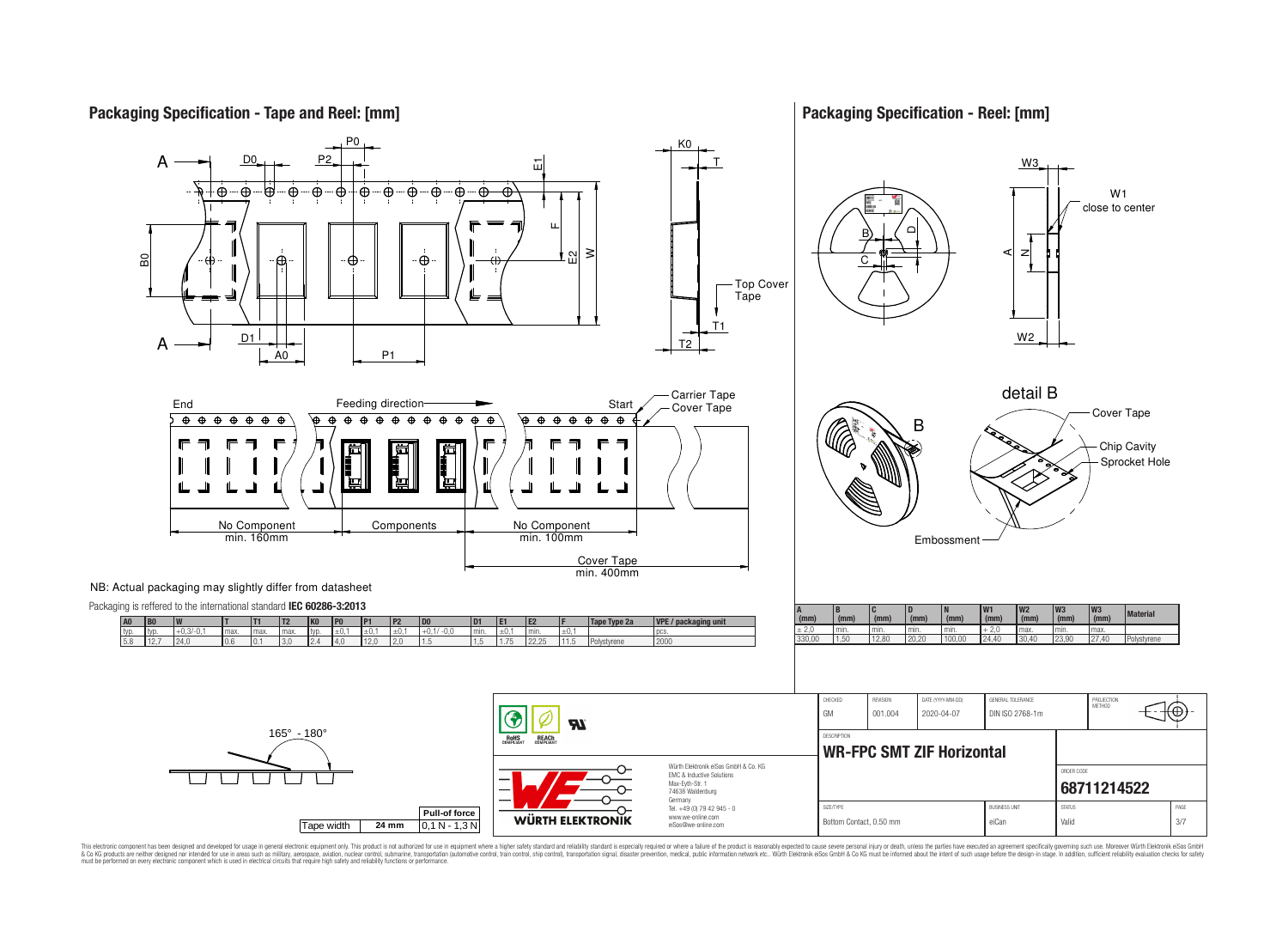

**Packaging Specification - Reel: [mm]**



This electronic component has been designed and developed for usage in general electronic equipment only. This product is not authorized for use in equipment where a higher safely standard and reliability standard si espec & Ook product a label and the membed of the seasuch as marked and as which such a membed and the such assume that income in the seasuch and the simulation and the such assume that include to the such a membed and the such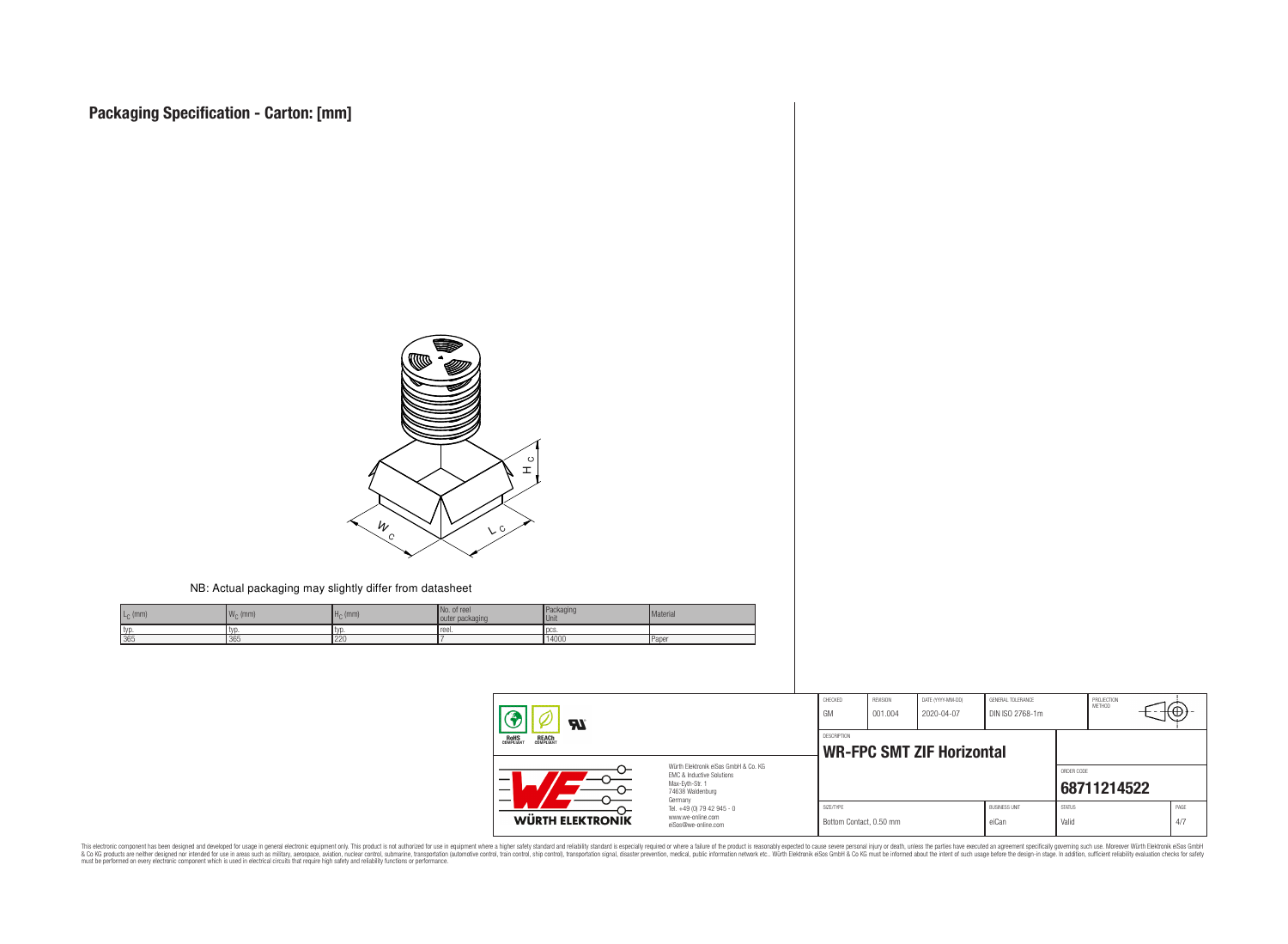

#### NB: Actual packaging may slightly differ from datasheet

| $L_{C}$ (mm) | <b>IM</b><br>$W_{\cap}$ (mm) | $H0$ (mm) | No. of reel<br>outer packaging | Packaging<br><b>Unit</b> | Material     |
|--------------|------------------------------|-----------|--------------------------------|--------------------------|--------------|
| typ.         | 1 LV L                       | ' IVL     | reel.                          | l DCS.                   |              |
| 365          | 365                          | 220       |                                | 14000                    | <b>Paper</b> |

| $\boldsymbol{z}$                                      |                                                                                                                     | CHECKED<br>GM                                   | REVISION<br>001.004 | DATE (YYYY-MM-DD)<br>2020-04-07 | GENERAL TOLERANCE<br>DIN ISO 2768-1m |                        | PROJECTION<br>METHOD | τΦ |             |
|-------------------------------------------------------|---------------------------------------------------------------------------------------------------------------------|-------------------------------------------------|---------------------|---------------------------------|--------------------------------------|------------------------|----------------------|----|-------------|
| <b>ROHS</b><br>COMPLIANT<br><b>REACH</b><br>COMPLIANT |                                                                                                                     | DESCRIPTION<br><b>WR-FPC SMT ZIF Horizontal</b> |                     |                                 |                                      |                        |                      |    |             |
| —<br>$\overline{\phantom{0}}$                         | Würth Flektronik eiSos GmbH & Co. KG<br>FMC & Inductive Solutions<br>Max-Evth-Str. 1<br>74638 Waldenburg<br>Germany |                                                 |                     |                                 |                                      | ORDER CODE             | 68711214522          |    |             |
| WÜRTH ELEKTRONIK                                      | Tel. +49 (0) 79 42 945 - 0<br>www.we-online.com<br>eiSos@we-online.com                                              | SIZE/TYPE<br>Bottom Contact, 0.50 mm            |                     |                                 | <b>BUSINESS UNIT</b><br>eiCan        | <b>STATUS</b><br>Valid |                      |    | PAGE<br>4/7 |

This electronic component has been designed and developed for usage in general electronic equipment only. This product is not authorized for subserved requipment where a higher selection equipment where a higher selection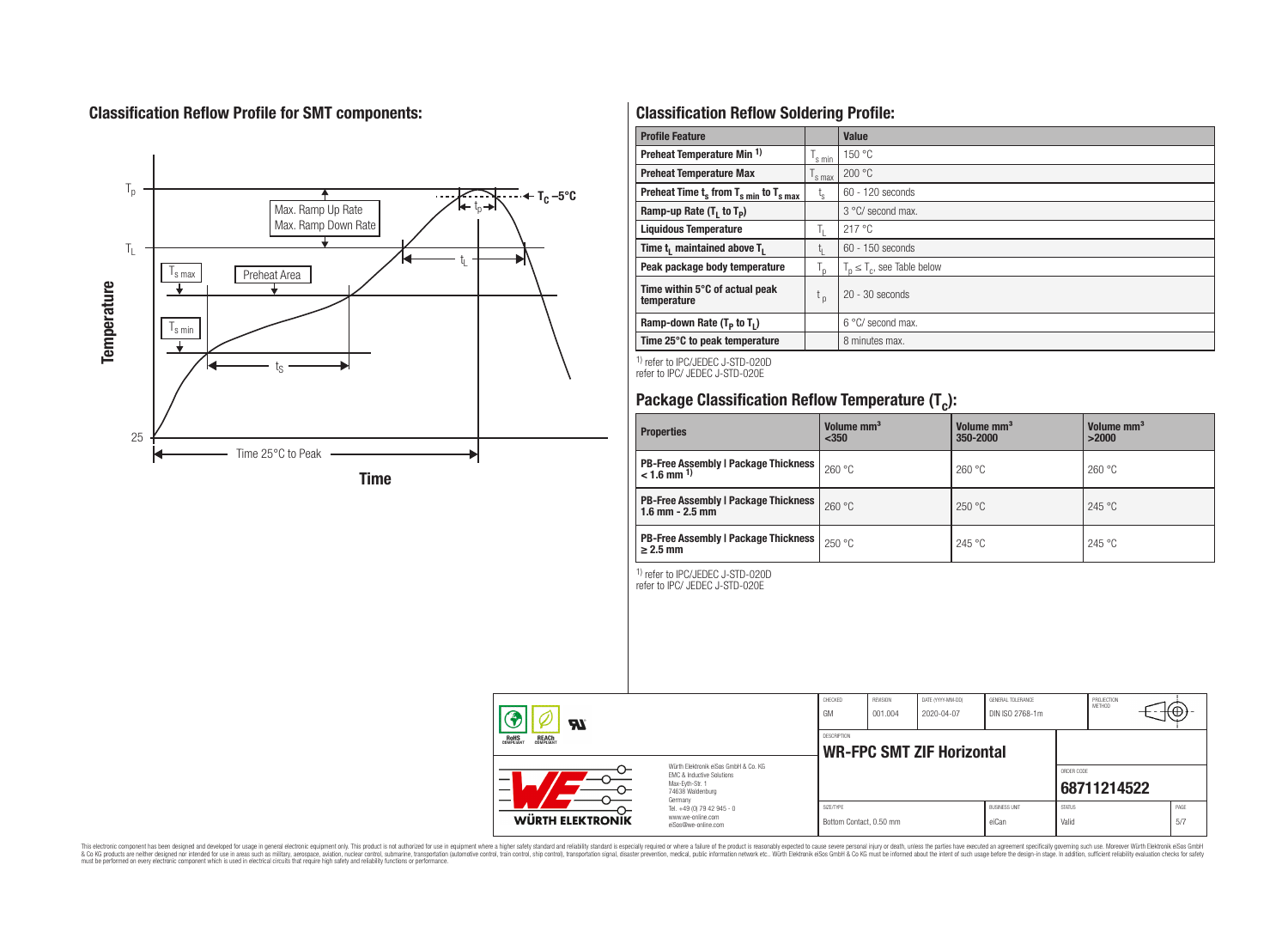# **Classification Reflow Profile for SMT components:**



# **Classification Reflow Soldering Profile:**

| <b>Profile Feature</b>                              |                    | Value                            |
|-----------------------------------------------------|--------------------|----------------------------------|
| Preheat Temperature Min <sup>1)</sup>               | <sup>I</sup> s min | 150 °C                           |
| <b>Preheat Temperature Max</b>                      | 's max             | 200 °C                           |
| Preheat Time $t_s$ from $T_{s,min}$ to $T_{s,max}$  | $t_{\rm s}$        | $60 - 120$ seconds               |
| Ramp-up Rate $(T_1$ to $T_p$ )                      |                    | 3 °C/ second max.                |
| <b>Liquidous Temperature</b>                        | Ь.                 | 217°C                            |
| Time t <sub>1</sub> maintained above T <sub>1</sub> | ь.                 | $60 - 150$ seconds               |
| Peak package body temperature                       | l n                | $T_n \leq T_c$ , see Table below |
| Time within 5°C of actual peak<br>temperature       | t <sub>p</sub>     | $20 - 30$ seconds                |
| Ramp-down Rate $(T_p$ to $T_1$ )                    |                    | $6^{\circ}$ C/ second max.       |
| Time 25°C to peak temperature                       |                    | 8 minutes max.                   |

1) refer to IPC/JEDEC J-STD-020D refer to IPC/ JEDEC J-STD-020E

# **Package Classification Reflow Temperature (T<sup>c</sup> ):**

| <b>Properties</b>                                                         | Volume mm <sup>3</sup><br>$350$ | Volume mm <sup>3</sup><br>350-2000 | Volume mm <sup>3</sup><br>>2000 |
|---------------------------------------------------------------------------|---------------------------------|------------------------------------|---------------------------------|
| <b>PB-Free Assembly   Package Thickness  </b><br>$< 1.6$ mm <sup>1)</sup> | 260 °C                          | 260 °C                             | 260 °C                          |
| <b>PB-Free Assembly   Package Thickness  </b><br>$1.6$ mm $- 2.5$ mm      | 260 °C                          | 250 °C                             | 245 °C                          |
| <b>PB-Free Assembly   Package Thickness  </b><br>$\geq$ 2.5 mm            | 250 °C                          | 245 °C                             | 245 °C                          |

1) refer to IPC/JEDEC J-STD-020D

refer to IPC/ JEDEC J-STD-020E

|                  | Яľ                                                                                                                                                                                |                                                                        | CHECKED<br>GM                                   | <b>REVISION</b><br>001.004 | DATE (YYYY-MM-DD)<br>2020-04-07 | GENERAL TOLERANCE<br>DIN ISO 2768-1m |                        | PROJECTION<br>METHOD | ťΨ  |      |
|------------------|-----------------------------------------------------------------------------------------------------------------------------------------------------------------------------------|------------------------------------------------------------------------|-------------------------------------------------|----------------------------|---------------------------------|--------------------------------------|------------------------|----------------------|-----|------|
|                  | <b>ROHS</b><br>COMPLIANT<br><b>REACH</b><br>COMPLIANT<br>Würth Flektronik eiSos GmbH & Co. KG<br>EMC & Inductive Solutions<br>-<br>Max-Evth-Str. 1<br>74638 Waldenburg<br>Germany |                                                                        | DESCRIPTION<br><b>WR-FPC SMT ZIF Horizontal</b> |                            |                                 |                                      |                        |                      |     |      |
|                  |                                                                                                                                                                                   |                                                                        |                                                 |                            |                                 |                                      | ORDER CODE             | 68711214522          |     |      |
| WÜRTH ELEKTRONIK |                                                                                                                                                                                   | Tel. +49 (0) 79 42 945 - 0<br>www.we-online.com<br>eiSos@we-online.com | SIZE/TYPE<br>Bottom Contact, 0.50 mm            |                            |                                 | <b>BUSINESS UNIT</b><br>eiCan        | <b>STATUS</b><br>Valid |                      | 5/7 | PAGE |

This electronic component has been designed and developed for usage in general electronic equipment only. This product is not authorized for subserved requipment where a higher selection equipment where a higher selection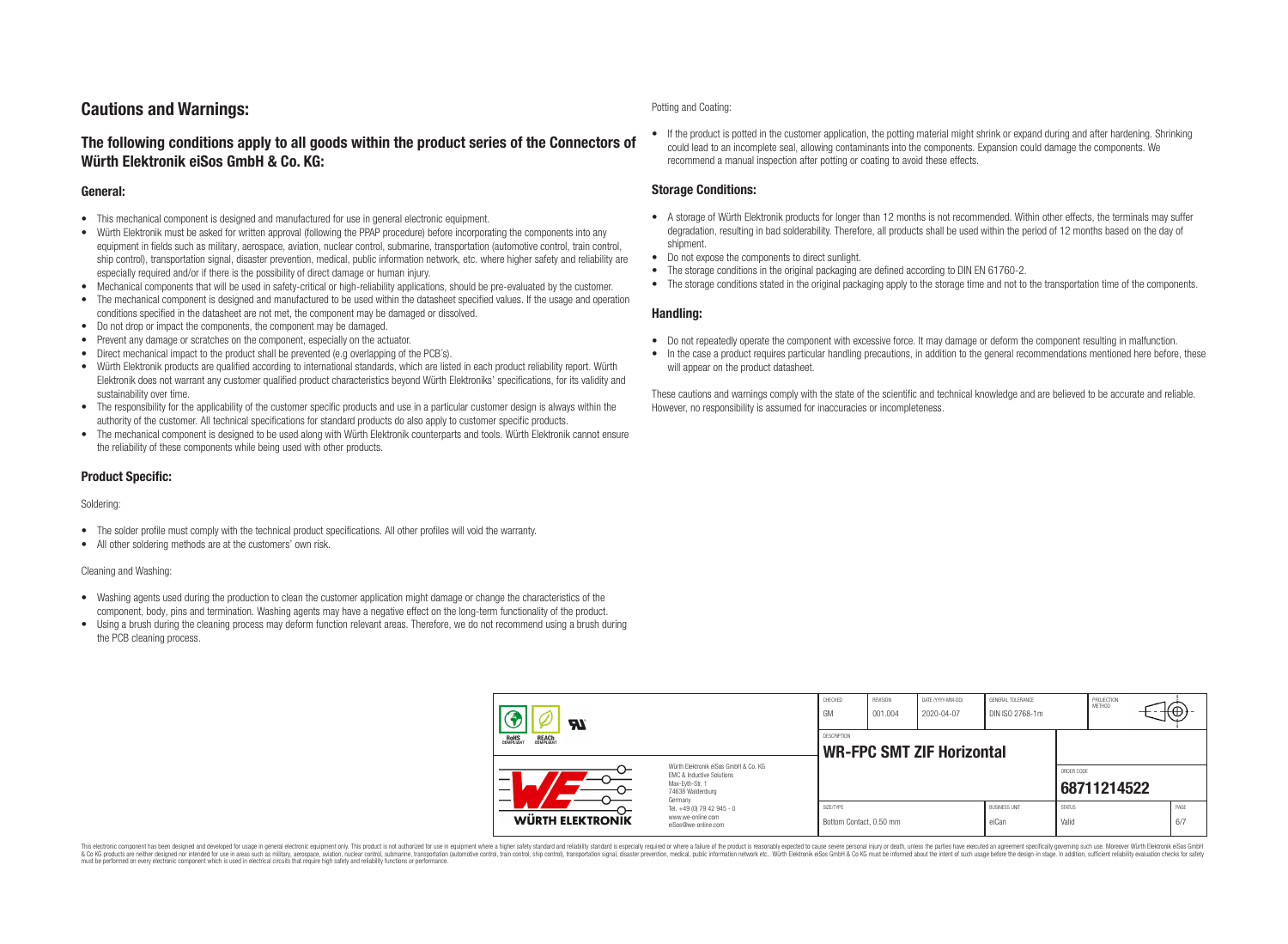# **Cautions and Warnings:**

### **The following conditions apply to all goods within the product series of the Connectors of Würth Elektronik eiSos GmbH & Co. KG:**

#### **General:**

- This mechanical component is designed and manufactured for use in general electronic equipment.
- Würth Elektronik must be asked for written approval (following the PPAP procedure) before incorporating the components into any equipment in fields such as military, aerospace, aviation, nuclear control, submarine, transportation (automotive control, train control, ship control), transportation signal, disaster prevention, medical, public information network, etc. where higher safety and reliability are especially required and/or if there is the possibility of direct damage or human injury.
- Mechanical components that will be used in safety-critical or high-reliability applications, should be pre-evaluated by the customer.
- The mechanical component is designed and manufactured to be used within the datasheet specified values. If the usage and operation conditions specified in the datasheet are not met, the component may be damaged or dissolved.
- Do not drop or impact the components, the component may be damaged.
- Prevent any damage or scratches on the component, especially on the actuator.
- Direct mechanical impact to the product shall be prevented (e.g overlapping of the PCB's).
- Würth Elektronik products are qualified according to international standards, which are listed in each product reliability report. Würth Elektronik does not warrant any customer qualified product characteristics beyond Würth Elektroniks' specifications, for its validity and sustainability over time.
- The responsibility for the applicability of the customer specific products and use in a particular customer design is always within the authority of the customer. All technical specifications for standard products do also apply to customer specific products.
- The mechanical component is designed to be used along with Würth Elektronik counterparts and tools. Würth Elektronik cannot ensure the reliability of these components while being used with other products.

#### **Product Specific:**

#### Soldering:

- The solder profile must comply with the technical product specifications. All other profiles will void the warranty.
- All other soldering methods are at the customers' own risk.

#### Cleaning and Washing:

- Washing agents used during the production to clean the customer application might damage or change the characteristics of the component, body, pins and termination. Washing agents may have a negative effect on the long-term functionality of the product.
- Using a brush during the cleaning process may deform function relevant areas. Therefore, we do not recommend using a brush during the PCB cleaning process.

#### Potting and Coating:

• If the product is potted in the customer application, the potting material might shrink or expand during and after hardening. Shrinking could lead to an incomplete seal, allowing contaminants into the components. Expansion could damage the components. We recommend a manual inspection after potting or coating to avoid these effects.

#### **Storage Conditions:**

- A storage of Würth Elektronik products for longer than 12 months is not recommended. Within other effects, the terminals may suffer degradation, resulting in bad solderability. Therefore, all products shall be used within the period of 12 months based on the day of shipment.
- Do not expose the components to direct sunlight.
- The storage conditions in the original packaging are defined according to DIN EN 61760-2.
- The storage conditions stated in the original packaging apply to the storage time and not to the transportation time of the components.

#### **Handling:**

- Do not repeatedly operate the component with excessive force. It may damage or deform the component resulting in malfunction.
- In the case a product requires particular handling precautions, in addition to the general recommendations mentioned here before, these will appear on the product datasheet.

These cautions and warnings comply with the state of the scientific and technical knowledge and are believed to be accurate and reliable. However, no responsibility is assumed for inaccuracies or incompleteness.

| Hī                                                                                                                                                                         |                                                                        | CHECKED<br>GM                                          | <b>REVISION</b><br>001.004 | DATE (YYYY-MM-DD)<br>2020-04-07 | GENERAL TOLERANCE<br>DIN ISO 2768-1m |                           | PROJECTION<br><b>METHOD</b> |  | ₩           |
|----------------------------------------------------------------------------------------------------------------------------------------------------------------------------|------------------------------------------------------------------------|--------------------------------------------------------|----------------------------|---------------------------------|--------------------------------------|---------------------------|-----------------------------|--|-------------|
| ROHS<br>COMPLIANT<br><b>REACH</b><br>COMPLIANT<br>Würth Flektronik eiSos GmbH & Co. KG<br>FMC & Inductive Solutions<br>–<br>Max-Eyth-Str. 1<br>74638 Waldenburg<br>Germany |                                                                        | <b>DESCRIPTION</b><br><b>WR-FPC SMT ZIF Horizontal</b> |                            |                                 |                                      |                           |                             |  |             |
|                                                                                                                                                                            |                                                                        |                                                        |                            |                                 |                                      | ORDER CODE<br>68711214522 |                             |  |             |
| WÜRTH ELEKTRONIK                                                                                                                                                           | Tel. +49 (0) 79 42 945 - 0<br>www.we-online.com<br>eiSos@we-online.com | SIZE/TYPE<br>Bottom Contact, 0.50 mm                   |                            |                                 | <b>BUSINESS UNIT</b><br>eiCan        | <b>STATUS</b><br>Valid    |                             |  | PAGE<br>6/7 |

This electronic component has been designed and developed for usage in general electronic equipment only. This product is not authorized for use in equipment where a higher safety standard and reliability standard si espec & Ook product a label and the membed of the seasuch as marked and as which such a membed and the such assume that income in the seasuch and the simulation and the such assume that include to the such a membed and the such